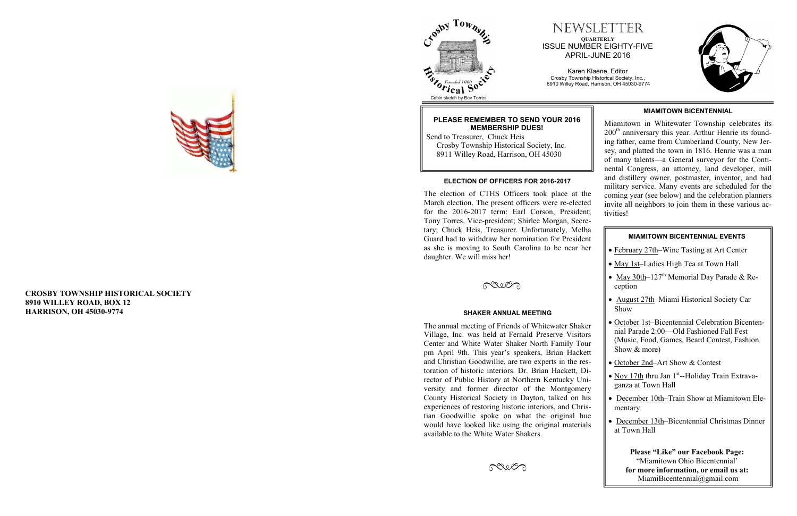**CROSBY TOWNSHIP HISTORICAL SOCIETY 8910 WILLEY ROAD, BOX 12 HARRISON, OH 45030 -9774**



## NEWSLETTER **QUARTERLY** ISSUE NUMBER EIGHTY -FIVE APRIL -JUNE 2016

Karen Klaene, Editor Crosby Township Historical Society, Inc., 8910 Willey Road, Harrison, OH 45030 -9774







#### **ELECTION OF OFFICERS FOR 2016 -2017**

### **PLEASE REMEMBER TO SEND YOUR 2016 MEMBERSHIP DUES!**

 Send to Treasurer, Chuck Heis Crosby Township Historical Society, Inc. 8911 Willey Road, Harrison, OH 45030

The election of CTHS Officers took place at the March election. The present officers were re -elected for the 2016 -2017 term: Earl Corson, President; Tony Torres, Vice -president; Shirlee Morgan, Secretary; Chuck Heis, Treasurer. Unfortunately, Melba Guard had to withdraw her nomination for President as she is moving to South Carolina to be near her daughter. We will miss her!

POUL

The annual meeting of Friends of Whitewater Shaker Village, Inc. was held at Fernald Preserve Visitors Center and White Water Shaker North Family Tour pm April 9th. This year's speakers, Brian Hackett and Christian Goodwillie, are two experts in the restoration of historic interiors. Dr. Brian Hackett, Director of Public History at Northern Kentucky University and former director of the Montgomery County Historical Society in Dayton, talked on his experiences of restoring historic interiors, and Christian Goodwillie spoke on what the original hue would have looked like using the original materials available to the White Water Shakers.



- February 27th–Wine Tasting at Art Center
- May 1st-Ladies High Tea at Town Hall
- $\bullet$  May 30th–127<sup>th</sup> Memorial Day Parade & Reception
- August 27th-Miami Historical Society Car Show
- October 1st–Bicentennial Celebration Bicentennial Parade 2:00—Old Fashioned Fall Fest (Music, Food, Games, Beard Contest, Fashion Show & more)
- October 2nd–Art Show & Contest
- Nov 17th thru Jan 1<sup>st</sup>--Holiday Train Extravaganza at Town Hall
- December 10th-Train Show at Miamitown Elementary
- December 13th–Bicentennial Christmas Dinner at Town Hall

#### **SHAKER ANNUAL MEETING**

### **MIAMITOWN BICENTENNIAL**

Miamitown in Whitewater Township celebrates its  $200<sup>th</sup>$  anniversary this year. Arthur Henrie its founding father, came from Cumberland County, New Jersey, and platted the town in 1816. Henrie was a man of many talents —a General surveyor for the Continental Congress, an attorney, land developer, mill and distillery owner, postmaster, inventor, and had military service. Many events are scheduled for the coming year (see below) and the celebration planners invite all neighbors to join them in these various activities!

**Please "Like" our Facebook Page:** "Miamitown Ohio Bicentennial' **for more information, or email us at:** MiamiBicentennial@gmail.com

#### **MIAMITOWN BICENTENNIAL EVENTS**